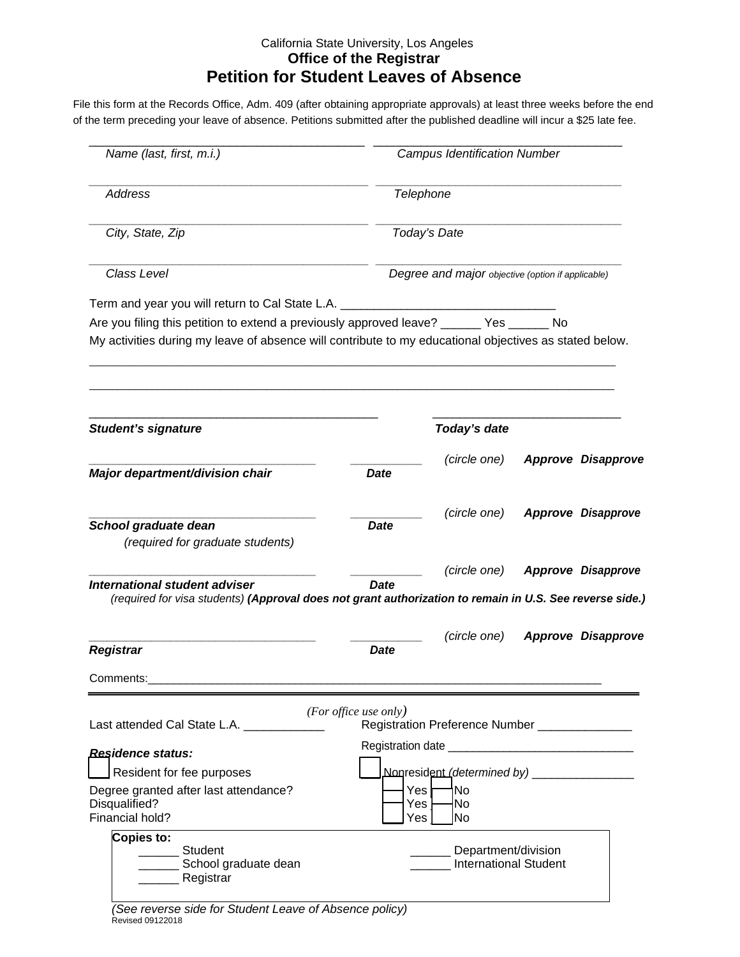## California State University, Los Angeles **Office of the Registrar Petition for Student Leaves of Absence**

File this form at the Records Office, Adm. 409 (after obtaining appropriate approvals) at least three weeks before the end of the term preceding your leave of absence. Petitions submitted after the published deadline will incur a \$25 late fee.

| Name (last, first, m.i.)                                                                                                                                                                           |                                                                                | <b>Campus Identification Number</b>                              |  |                           |  |
|----------------------------------------------------------------------------------------------------------------------------------------------------------------------------------------------------|--------------------------------------------------------------------------------|------------------------------------------------------------------|--|---------------------------|--|
| <b>Address</b>                                                                                                                                                                                     | Telephone<br>Today's Date<br>Degree and major objective (option if applicable) |                                                                  |  |                           |  |
| City, State, Zip                                                                                                                                                                                   |                                                                                |                                                                  |  |                           |  |
| Class Level                                                                                                                                                                                        |                                                                                |                                                                  |  |                           |  |
| Term and year you will return to Cal State L.A.                                                                                                                                                    |                                                                                |                                                                  |  |                           |  |
| Are you filing this petition to extend a previously approved leave? ______ Yes ______ No<br>My activities during my leave of absence will contribute to my educational objectives as stated below. |                                                                                |                                                                  |  |                           |  |
| <b>Student's signature</b>                                                                                                                                                                         | Today's date                                                                   |                                                                  |  |                           |  |
| Major department/division chair                                                                                                                                                                    | <b>Date</b>                                                                    | (circle one)                                                     |  | <b>Approve Disapprove</b> |  |
| School graduate dean<br>(required for graduate students)                                                                                                                                           | <b>Date</b>                                                                    | (circle one)                                                     |  | <b>Approve Disapprove</b> |  |
| International student adviser<br>(required for visa students) (Approval does not grant authorization to remain in U.S. See reverse side.)                                                          | <b>Date</b>                                                                    | (circle one)                                                     |  | <b>Approve Disapprove</b> |  |
| <b>Registrar</b>                                                                                                                                                                                   | Date                                                                           | (circle one)                                                     |  | <b>Approve Disapprove</b> |  |
| Comments:                                                                                                                                                                                          |                                                                                |                                                                  |  |                           |  |
| Last attended Cal State L.A. _____________                                                                                                                                                         | (For office use only)                                                          | Registration Preference Number _______________                   |  |                           |  |
| Residence status:                                                                                                                                                                                  |                                                                                |                                                                  |  |                           |  |
| Resident for fee purposes<br>Degree granted after last attendance?<br>Disqualified?<br>Financial hold?                                                                                             | Yes<br>Yes<br>Yes                                                              | Nonresident (determined by) __________________<br>No<br>No<br>No |  |                           |  |
| Copies to:<br>Student<br>School graduate dean<br>_______ Registrar<br>(See reverse side for Student Leave of Absence policy)                                                                       |                                                                                | Department/division<br><b>International Student</b>              |  |                           |  |

Revised 09122018